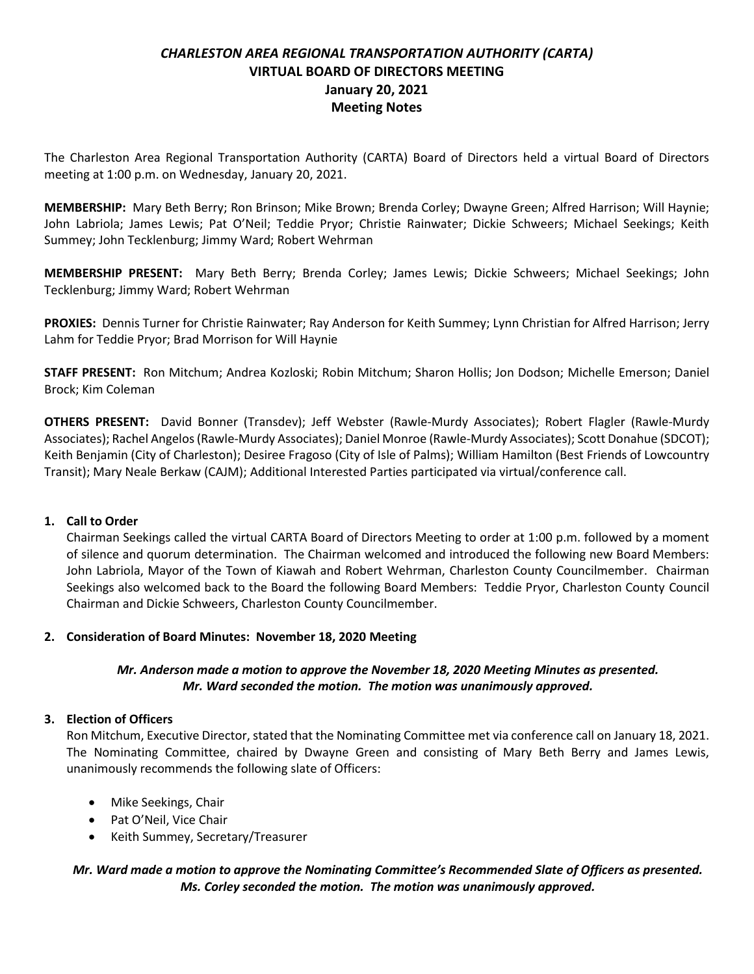# *CHARLESTON AREA REGIONAL TRANSPORTATION AUTHORITY (CARTA)* **VIRTUAL BOARD OF DIRECTORS MEETING January 20, 2021 Meeting Notes**

The Charleston Area Regional Transportation Authority (CARTA) Board of Directors held a virtual Board of Directors meeting at 1:00 p.m. on Wednesday, January 20, 2021.

**MEMBERSHIP:** Mary Beth Berry; Ron Brinson; Mike Brown; Brenda Corley; Dwayne Green; Alfred Harrison; Will Haynie; John Labriola; James Lewis; Pat O'Neil; Teddie Pryor; Christie Rainwater; Dickie Schweers; Michael Seekings; Keith Summey; John Tecklenburg; Jimmy Ward; Robert Wehrman

**MEMBERSHIP PRESENT:** Mary Beth Berry; Brenda Corley; James Lewis; Dickie Schweers; Michael Seekings; John Tecklenburg; Jimmy Ward; Robert Wehrman

**PROXIES:** Dennis Turner for Christie Rainwater; Ray Anderson for Keith Summey; Lynn Christian for Alfred Harrison; Jerry Lahm for Teddie Pryor; Brad Morrison for Will Haynie

**STAFF PRESENT:** Ron Mitchum; Andrea Kozloski; Robin Mitchum; Sharon Hollis; Jon Dodson; Michelle Emerson; Daniel Brock; Kim Coleman

**OTHERS PRESENT:** David Bonner (Transdev); Jeff Webster (Rawle-Murdy Associates); Robert Flagler (Rawle-Murdy Associates); Rachel Angelos(Rawle-Murdy Associates); Daniel Monroe (Rawle-Murdy Associates); Scott Donahue (SDCOT); Keith Benjamin (City of Charleston); Desiree Fragoso (City of Isle of Palms); William Hamilton (Best Friends of Lowcountry Transit); Mary Neale Berkaw (CAJM); Additional Interested Parties participated via virtual/conference call.

## **1. Call to Order**

Chairman Seekings called the virtual CARTA Board of Directors Meeting to order at 1:00 p.m. followed by a moment of silence and quorum determination. The Chairman welcomed and introduced the following new Board Members: John Labriola, Mayor of the Town of Kiawah and Robert Wehrman, Charleston County Councilmember. Chairman Seekings also welcomed back to the Board the following Board Members: Teddie Pryor, Charleston County Council Chairman and Dickie Schweers, Charleston County Councilmember.

## **2. Consideration of Board Minutes: November 18, 2020 Meeting**

# *Mr. Anderson made a motion to approve the November 18, 2020 Meeting Minutes as presented. Mr. Ward seconded the motion. The motion was unanimously approved.*

## **3. Election of Officers**

Ron Mitchum, Executive Director, stated that the Nominating Committee met via conference call on January 18, 2021. The Nominating Committee, chaired by Dwayne Green and consisting of Mary Beth Berry and James Lewis, unanimously recommends the following slate of Officers:

- Mike Seekings, Chair
- Pat O'Neil, Vice Chair
- Keith Summey, Secretary/Treasurer

# *Mr. Ward made a motion to approve the Nominating Committee's Recommended Slate of Officers as presented. Ms. Corley seconded the motion. The motion was unanimously approved.*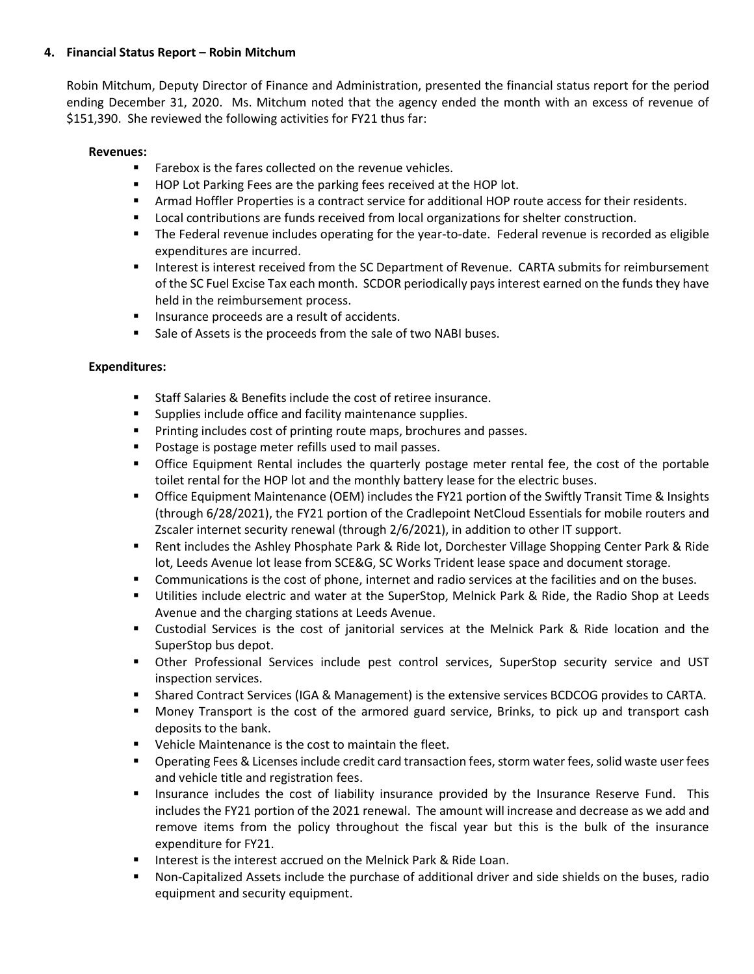## **4. Financial Status Report – Robin Mitchum**

Robin Mitchum, Deputy Director of Finance and Administration, presented the financial status report for the period ending December 31, 2020. Ms. Mitchum noted that the agency ended the month with an excess of revenue of \$151,390. She reviewed the following activities for FY21 thus far:

## **Revenues:**

- Farebox is the fares collected on the revenue vehicles.
- HOP Lot Parking Fees are the parking fees received at the HOP lot.
- **Armad Hoffler Properties is a contract service for additional HOP route access for their residents.**
- Local contributions are funds received from local organizations for shelter construction.
- The Federal revenue includes operating for the year-to-date. Federal revenue is recorded as eligible expenditures are incurred.
- Interest is interest received from the SC Department of Revenue. CARTA submits for reimbursement of the SC Fuel Excise Tax each month. SCDOR periodically pays interest earned on the funds they have held in the reimbursement process.
- Insurance proceeds are a result of accidents.
- Sale of Assets is the proceeds from the sale of two NABI buses.

## **Expenditures:**

- Staff Salaries & Benefits include the cost of retiree insurance.
- Supplies include office and facility maintenance supplies.
- Printing includes cost of printing route maps, brochures and passes.
- Postage is postage meter refills used to mail passes.
- **•** Office Equipment Rental includes the quarterly postage meter rental fee, the cost of the portable toilet rental for the HOP lot and the monthly battery lease for the electric buses.
- Office Equipment Maintenance (OEM) includes the FY21 portion of the Swiftly Transit Time & Insights (through 6/28/2021), the FY21 portion of the Cradlepoint NetCloud Essentials for mobile routers and Zscaler internet security renewal (through 2/6/2021), in addition to other IT support.
- Rent includes the Ashley Phosphate Park & Ride lot, Dorchester Village Shopping Center Park & Ride lot, Leeds Avenue lot lease from SCE&G, SC Works Trident lease space and document storage.
- Communications is the cost of phone, internet and radio services at the facilities and on the buses.
- Utilities include electric and water at the SuperStop, Melnick Park & Ride, the Radio Shop at Leeds Avenue and the charging stations at Leeds Avenue.
- Custodial Services is the cost of janitorial services at the Melnick Park & Ride location and the SuperStop bus depot.
- Other Professional Services include pest control services, SuperStop security service and UST inspection services.
- Shared Contract Services (IGA & Management) is the extensive services BCDCOG provides to CARTA.
- Money Transport is the cost of the armored guard service, Brinks, to pick up and transport cash deposits to the bank.
- Vehicle Maintenance is the cost to maintain the fleet.
- Operating Fees & Licenses include credit card transaction fees, storm water fees, solid waste user fees and vehicle title and registration fees.
- **■** Insurance includes the cost of liability insurance provided by the Insurance Reserve Fund. This includes the FY21 portion of the 2021 renewal. The amount will increase and decrease as we add and remove items from the policy throughout the fiscal year but this is the bulk of the insurance expenditure for FY21.
- Interest is the interest accrued on the Melnick Park & Ride Loan.
- Non-Capitalized Assets include the purchase of additional driver and side shields on the buses, radio equipment and security equipment.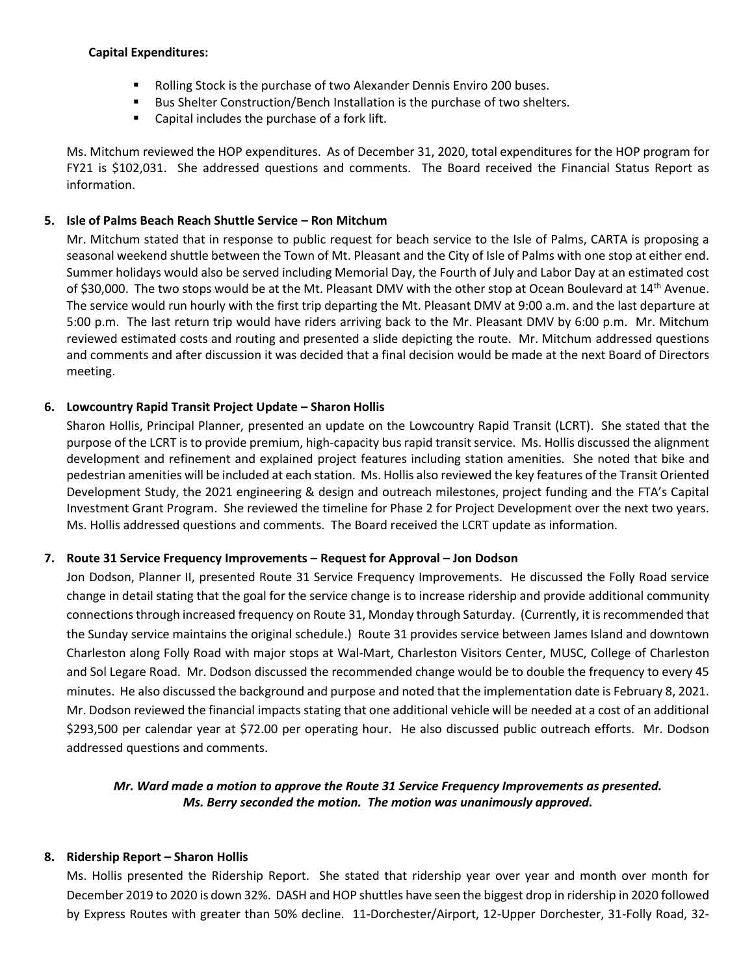## **Capital Expenditures:**

- Rolling Stock is the purchase of two Alexander Dennis Enviro 200 buses.
- Bus Shelter Construction/Bench Installation is the purchase of two shelters.
- Capital includes the purchase of a fork lift.

Ms. Mitchum reviewed the HOP expenditures. As of December 31, 2020, total expenditures for the HOP program for FY21 is \$102,031. She addressed questions and comments. The Board received the Financial Status Report as information.

## **5. Isle of Palms Beach Reach Shuttle Service – Ron Mitchum**

Mr. Mitchum stated that in response to public request for beach service to the Isle of Palms, CARTA is proposing a seasonal weekend shuttle between the Town of Mt. Pleasant and the City of Isle of Palms with one stop at either end. Summer holidays would also be served including Memorial Day, the Fourth of July and Labor Day at an estimated cost of \$30,000. The two stops would be at the Mt. Pleasant DMV with the other stop at Ocean Boulevard at 14<sup>th</sup> Avenue. The service would run hourly with the first trip departing the Mt. Pleasant DMV at 9:00 a.m. and the last departure at 5:00 p.m. The last return trip would have riders arriving back to the Mr. Pleasant DMV by 6:00 p.m. Mr. Mitchum reviewed estimated costs and routing and presented a slide depicting the route. Mr. Mitchum addressed questions and comments and after discussion it was decided that a final decision would be made at the next Board of Directors meeting.

## **6. Lowcountry Rapid Transit Project Update – Sharon Hollis**

Sharon Hollis, Principal Planner, presented an update on the Lowcountry Rapid Transit (LCRT). She stated that the purpose of the LCRT is to provide premium, high-capacity bus rapid transit service. Ms. Hollis discussed the alignment development and refinement and explained project features including station amenities. She noted that bike and pedestrian amenities will be included at each station. Ms. Hollis also reviewed the key features of the Transit Oriented Development Study, the 2021 engineering & design and outreach milestones, project funding and the FTA's Capital Investment Grant Program. She reviewed the timeline for Phase 2 for Project Development over the next two years. Ms. Hollis addressed questions and comments. The Board received the LCRT update as information.

# **7. Route 31 Service Frequency Improvements – Request for Approval – Jon Dodson**

Jon Dodson, Planner II, presented Route 31 Service Frequency Improvements. He discussed the Folly Road service change in detail stating that the goal for the service change is to increase ridership and provide additional community connections through increased frequency on Route 31, Monday through Saturday. (Currently, it is recommended that the Sunday service maintains the original schedule.) Route 31 provides service between James Island and downtown Charleston along Folly Road with major stops at Wal-Mart, Charleston Visitors Center, MUSC, College of Charleston and Sol Legare Road. Mr. Dodson discussed the recommended change would be to double the frequency to every 45 minutes. He also discussed the background and purpose and noted that the implementation date is February 8, 2021. Mr. Dodson reviewed the financial impacts stating that one additional vehicle will be needed at a cost of an additional \$293,500 per calendar year at \$72.00 per operating hour. He also discussed public outreach efforts. Mr. Dodson addressed questions and comments.

## *Mr. Ward made a motion to approve the Route 31 Service Frequency Improvements as presented. Ms. Berry seconded the motion. The motion was unanimously approved.*

## **8. Ridership Report – Sharon Hollis**

Ms. Hollis presented the Ridership Report. She stated that ridership year over year and month over month for December 2019 to 2020 is down 32%. DASH and HOP shuttles have seen the biggest drop in ridership in 2020 followed by Express Routes with greater than 50% decline. 11-Dorchester/Airport, 12-Upper Dorchester, 31-Folly Road, 32